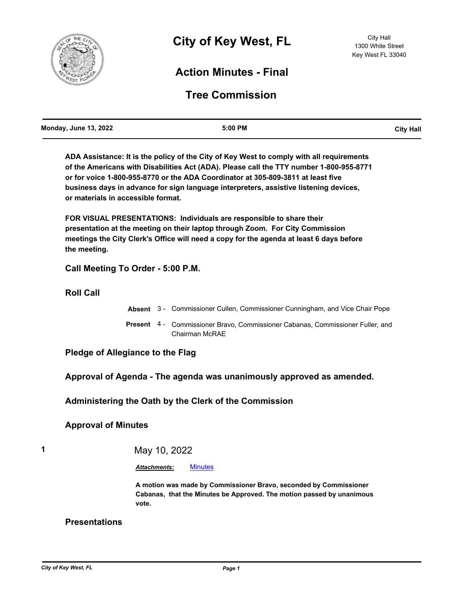

# **Action Minutes - Final**

# **Tree Commission**

| <b>Monday, June 13, 2022</b> | 5:00 PM | <b>City Hall</b> |
|------------------------------|---------|------------------|
|                              |         |                  |

**ADA Assistance: It is the policy of the City of Key West to comply with all requirements of the Americans with Disabilities Act (ADA). Please call the TTY number 1-800-955-8771 or for voice 1-800-955-8770 or the ADA Coordinator at 305-809-3811 at least five business days in advance for sign language interpreters, assistive listening devices, or materials in accessible format.**

**FOR VISUAL PRESENTATIONS: Individuals are responsible to share their presentation at the meeting on their laptop through Zoom. For City Commission meetings the City Clerk's Office will need a copy for the agenda at least 6 days before the meeting.**

## **Call Meeting To Order - 5:00 P.M.**

**Roll Call**

**Absent** 3 - Commissioner Cullen, Commissioner Cunningham, and Vice Chair Pope Present 4 - Commissioner Bravo, Commissioner Cabanas, Commissioner Fuller, and Chairman McRAE

**Pledge of Allegiance to the Flag**

### **Approval of Agenda - The agenda was unanimously approved as amended.**

**Administering the Oath by the Clerk of the Commission**

## **Approval of Minutes**

## **1** May 10, 2022

#### *Attachments:* [Minutes](http://KeyWest.legistar.com/gateway.aspx?M=F&ID=e266f0d6-f788-48d9-9cbe-0ca28b2fe6b9.pdf)

**A motion was made by Commissioner Bravo, seconded by Commissioner Cabanas, that the Minutes be Approved. The motion passed by unanimous vote.**

## **Presentations**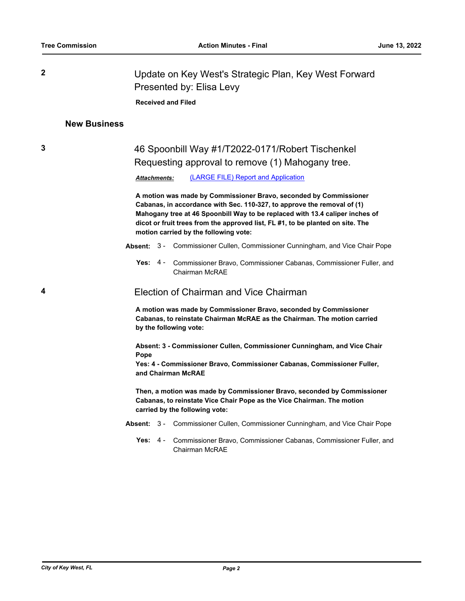**2** Update on Key West's Strategic Plan, Key West Forward Presented by: Elisa Levy **Received and Filed**

### **New Business**

# **3** 46 Spoonbill Way #1/T2022-0171/Robert Tischenkel Requesting approval to remove (1) Mahogany tree.

*Attachments:* [\(LARGE FILE\) Report and Application](http://KeyWest.legistar.com/gateway.aspx?M=F&ID=f9261d8c-0e14-4dcc-b471-10b3b3441551.pdf)

**A motion was made by Commissioner Bravo, seconded by Commissioner Cabanas, in accordance with Sec. 110-327, to approve the removal of (1) Mahogany tree at 46 Spoonbill Way to be replaced with 13.4 caliper inches of dicot or fruit trees from the approved list, FL #1, to be planted on site. The motion carried by the following vote:**

**Absent:** 3 - Commissioner Cullen, Commissioner Cunningham, and Vice Chair Pope

Yes: 4 - Commissioner Bravo, Commissioner Cabanas, Commissioner Fuller, and Chairman McRAE

### **4** Election of Chairman and Vice Chairman

**A motion was made by Commissioner Bravo, seconded by Commissioner Cabanas, to reinstate Chairman McRAE as the Chairman. The motion carried by the following vote:**

**Absent: 3 - Commissioner Cullen, Commissioner Cunningham, and Vice Chair Pope**

**Yes: 4 - Commissioner Bravo, Commissioner Cabanas, Commissioner Fuller, and Chairman McRAE**

**Then, a motion was made by Commissioner Bravo, seconded by Commissioner Cabanas, to reinstate Vice Chair Pope as the Vice Chairman. The motion carried by the following vote:**

- **Absent:** 3 Commissioner Cullen, Commissioner Cunningham, and Vice Chair Pope
	- Yes: 4 Commissioner Bravo, Commissioner Cabanas, Commissioner Fuller, and Chairman McRAE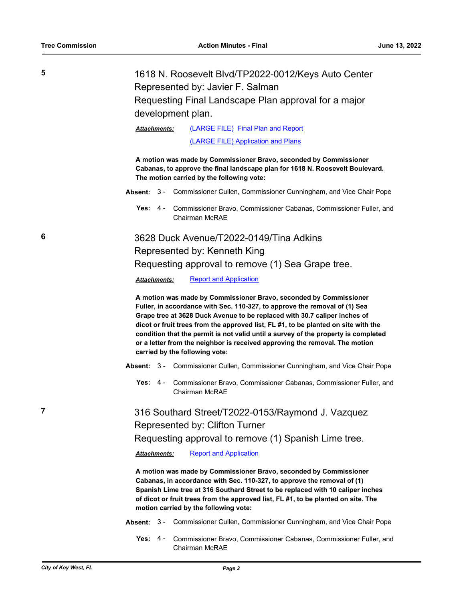| 5 | 1618 N. Roosevelt Blvd/TP2022-0012/Keys Auto Center<br>Represented by: Javier F. Salman<br>Requesting Final Landscape Plan approval for a major                                                                                                                                                                                                                                                                                                                                                                           |  |
|---|---------------------------------------------------------------------------------------------------------------------------------------------------------------------------------------------------------------------------------------------------------------------------------------------------------------------------------------------------------------------------------------------------------------------------------------------------------------------------------------------------------------------------|--|
|   | development plan.                                                                                                                                                                                                                                                                                                                                                                                                                                                                                                         |  |
|   | (LARGE FILE) Final Plan and Report<br>Attachments:                                                                                                                                                                                                                                                                                                                                                                                                                                                                        |  |
|   | (LARGE FILE) Application and Plans                                                                                                                                                                                                                                                                                                                                                                                                                                                                                        |  |
|   | A motion was made by Commissioner Bravo, seconded by Commissioner<br>Cabanas, to approve the final landscape plan for 1618 N. Roosevelt Boulevard.<br>The motion carried by the following vote:                                                                                                                                                                                                                                                                                                                           |  |
|   | Absent: 3 - Commissioner Cullen, Commissioner Cunningham, and Vice Chair Pope                                                                                                                                                                                                                                                                                                                                                                                                                                             |  |
|   | Yes:<br>4 -<br>Commissioner Bravo, Commissioner Cabanas, Commissioner Fuller, and<br><b>Chairman McRAE</b>                                                                                                                                                                                                                                                                                                                                                                                                                |  |
| 6 | 3628 Duck Avenue/T2022-0149/Tina Adkins                                                                                                                                                                                                                                                                                                                                                                                                                                                                                   |  |
|   | Represented by: Kenneth King                                                                                                                                                                                                                                                                                                                                                                                                                                                                                              |  |
|   | Requesting approval to remove (1) Sea Grape tree.                                                                                                                                                                                                                                                                                                                                                                                                                                                                         |  |
|   | <b>Report and Application</b><br>Attachments:                                                                                                                                                                                                                                                                                                                                                                                                                                                                             |  |
|   | A motion was made by Commissioner Bravo, seconded by Commissioner<br>Fuller, in accordance with Sec. 110-327, to approve the removal of (1) Sea<br>Grape tree at 3628 Duck Avenue to be replaced with 30.7 caliper inches of<br>dicot or fruit trees from the approved list, FL #1, to be planted on site with the<br>condition that the permit is not valid until a survey of the property is completed<br>or a letter from the neighbor is received approving the removal. The motion<br>carried by the following vote: |  |
|   | Absent: 3 - Commissioner Cullen, Commissioner Cunningham, and Vice Chair Pope                                                                                                                                                                                                                                                                                                                                                                                                                                             |  |
|   | Yes:<br>4 -<br>Commissioner Bravo, Commissioner Cabanas, Commissioner Fuller, and<br>Chairman McRAE                                                                                                                                                                                                                                                                                                                                                                                                                       |  |
| 7 | 316 Southard Street/T2022-0153/Raymond J. Vazquez                                                                                                                                                                                                                                                                                                                                                                                                                                                                         |  |
|   | Represented by: Clifton Turner                                                                                                                                                                                                                                                                                                                                                                                                                                                                                            |  |
|   | Requesting approval to remove (1) Spanish Lime tree.                                                                                                                                                                                                                                                                                                                                                                                                                                                                      |  |
|   | <b>Report and Application</b><br>Attachments:                                                                                                                                                                                                                                                                                                                                                                                                                                                                             |  |
|   | A motion was made by Commissioner Bravo, seconded by Commissioner<br>Cabanas, in accordance with Sec. 110-327, to approve the removal of (1)<br>Spanish Lime tree at 316 Southard Street to be replaced with 10 caliper inches<br>of dicot or fruit trees from the approved list, FL #1, to be planted on site. The<br>motion carried by the following vote:                                                                                                                                                              |  |
|   | Absent: 3 - Commissioner Cullen, Commissioner Cunningham, and Vice Chair Pope                                                                                                                                                                                                                                                                                                                                                                                                                                             |  |
|   | aaa Cammia                                                                                                                                                                                                                                                                                                                                                                                                                                                                                                                |  |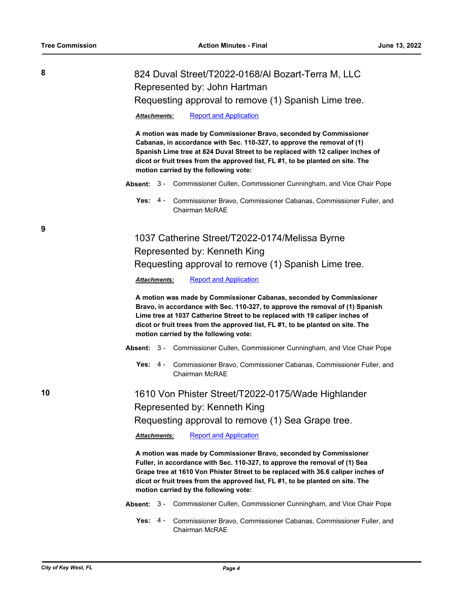| 8  | 824 Duval Street/T2022-0168/AI Bozart-Terra M, LLC                                                                                                                                                                                                                                                                                                             |
|----|----------------------------------------------------------------------------------------------------------------------------------------------------------------------------------------------------------------------------------------------------------------------------------------------------------------------------------------------------------------|
|    | Represented by: John Hartman                                                                                                                                                                                                                                                                                                                                   |
|    | Requesting approval to remove (1) Spanish Lime tree.                                                                                                                                                                                                                                                                                                           |
|    | <b>Report and Application</b><br>Attachments:                                                                                                                                                                                                                                                                                                                  |
|    | A motion was made by Commissioner Bravo, seconded by Commissioner<br>Cabanas, in accordance with Sec. 110-327, to approve the removal of (1)<br>Spanish Lime tree at 824 Duval Street to be replaced with 12 caliper inches of<br>dicot or fruit trees from the approved list, FL #1, to be planted on site. The<br>motion carried by the following vote:      |
|    | Absent: 3 - Commissioner Cullen, Commissioner Cunningham, and Vice Chair Pope                                                                                                                                                                                                                                                                                  |
|    | 4 -<br>Yes:<br>Commissioner Bravo, Commissioner Cabanas, Commissioner Fuller, and<br><b>Chairman McRAE</b>                                                                                                                                                                                                                                                     |
| 9  | 1037 Catherine Street/T2022-0174/Melissa Byrne                                                                                                                                                                                                                                                                                                                 |
|    | Represented by: Kenneth King                                                                                                                                                                                                                                                                                                                                   |
|    | Requesting approval to remove (1) Spanish Lime tree.                                                                                                                                                                                                                                                                                                           |
|    | <b>Report and Application</b><br>Attachments:                                                                                                                                                                                                                                                                                                                  |
|    | A motion was made by Commissioner Cabanas, seconded by Commissioner<br>Bravo, in accordance with Sec. 110-327, to approve the removal of (1) Spanish<br>Lime tree at 1037 Catherine Street to be replaced with 19 caliper inches of<br>dicot or fruit trees from the approved list, FL #1, to be planted on site. The<br>motion carried by the following vote: |
|    | Absent: 3 - Commissioner Cullen, Commissioner Cunningham, and Vice Chair Pope                                                                                                                                                                                                                                                                                  |
|    | Yes:<br>4 -<br>Commissioner Bravo, Commissioner Cabanas, Commissioner Fuller, and<br>Chairman McRAE                                                                                                                                                                                                                                                            |
| 10 | 1610 Von Phister Street/T2022-0175/Wade Highlander                                                                                                                                                                                                                                                                                                             |
|    | Represented by: Kenneth King                                                                                                                                                                                                                                                                                                                                   |
|    | Requesting approval to remove (1) Sea Grape tree.                                                                                                                                                                                                                                                                                                              |
|    | <b>Report and Application</b><br>Attachments:                                                                                                                                                                                                                                                                                                                  |
|    | A motion was made by Commissioner Bravo, seconded by Commissioner<br>Fuller, in accordance with Sec. 110-327, to approve the removal of (1) Sea<br>Grape tree at 1610 Von Phister Street to be replaced with 36.6 caliper inches of<br>dicot or fruit trees from the approved list, FL #1, to be planted on site. The<br>motion carried by the following vote: |
|    | Commissioner Cullen, Commissioner Cunningham, and Vice Chair Pope<br>Absent: 3 -                                                                                                                                                                                                                                                                               |
|    | Yes:<br>4 -<br>Commissioner Bravo, Commissioner Cabanas, Commissioner Fuller, and<br><b>Chairman McRAE</b>                                                                                                                                                                                                                                                     |

**9**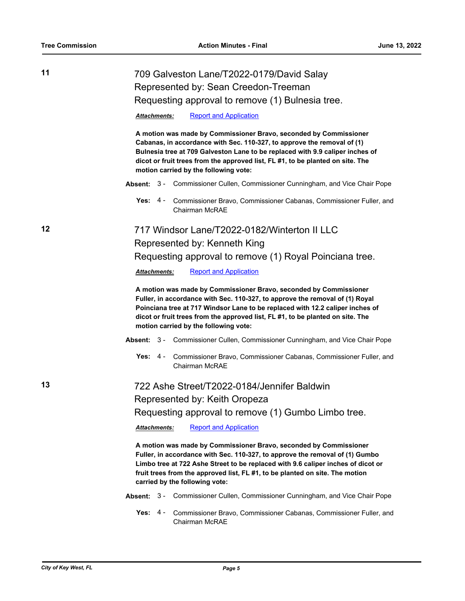| 11 | 709 Galveston Lane/T2022-0179/David Salay<br>Represented by: Sean Creedon-Treeman<br>Requesting approval to remove (1) Bulnesia tree.                                                                                                                                                                                                                         |
|----|---------------------------------------------------------------------------------------------------------------------------------------------------------------------------------------------------------------------------------------------------------------------------------------------------------------------------------------------------------------|
|    | <b>Report and Application</b><br><b>Attachments:</b>                                                                                                                                                                                                                                                                                                          |
|    | A motion was made by Commissioner Bravo, seconded by Commissioner<br>Cabanas, in accordance with Sec. 110-327, to approve the removal of (1)<br>Bulnesia tree at 709 Galveston Lane to be replaced with 9.9 caliper inches of<br>dicot or fruit trees from the approved list, FL #1, to be planted on site. The<br>motion carried by the following vote:      |
|    | Absent: 3 - Commissioner Cullen, Commissioner Cunningham, and Vice Chair Pope                                                                                                                                                                                                                                                                                 |
|    | Yes: 4 -<br>Commissioner Bravo, Commissioner Cabanas, Commissioner Fuller, and<br>Chairman McRAE                                                                                                                                                                                                                                                              |
| 12 | 717 Windsor Lane/T2022-0182/Winterton II LLC                                                                                                                                                                                                                                                                                                                  |
|    | Represented by: Kenneth King                                                                                                                                                                                                                                                                                                                                  |
|    | Requesting approval to remove (1) Royal Poinciana tree.                                                                                                                                                                                                                                                                                                       |
|    | <b>Report and Application</b><br>Attachments:                                                                                                                                                                                                                                                                                                                 |
|    | A motion was made by Commissioner Bravo, seconded by Commissioner<br>Fuller, in accordance with Sec. 110-327, to approve the removal of (1) Royal<br>Poinciana tree at 717 Windsor Lane to be replaced with 12.2 caliper inches of<br>dicot or fruit trees from the approved list, FL #1, to be planted on site. The<br>motion carried by the following vote: |
|    | Absent: 3 - Commissioner Cullen, Commissioner Cunningham, and Vice Chair Pope                                                                                                                                                                                                                                                                                 |
|    | Yes:<br>4 -<br>Commissioner Bravo, Commissioner Cabanas, Commissioner Fuller, and<br><b>Chairman McRAE</b>                                                                                                                                                                                                                                                    |
| 13 | 722 Ashe Street/T2022-0184/Jennifer Baldwin                                                                                                                                                                                                                                                                                                                   |
|    | Represented by: Keith Oropeza                                                                                                                                                                                                                                                                                                                                 |
|    | Requesting approval to remove (1) Gumbo Limbo tree.                                                                                                                                                                                                                                                                                                           |
|    | <b>Report and Application</b><br>Attachments:                                                                                                                                                                                                                                                                                                                 |
|    | A motion was made by Commissioner Bravo, seconded by Commissioner<br>Fuller, in accordance with Sec. 110-327, to approve the removal of (1) Gumbo<br>Limbo tree at 722 Ashe Street to be replaced with 9.6 caliper inches of dicot or<br>fruit trees from the approved list, FL #1, to be planted on site. The motion<br>carried by the following vote:       |
|    | Absent: 3 - Commissioner Cullen, Commissioner Cunningham, and Vice Chair Pope                                                                                                                                                                                                                                                                                 |
|    | Yes: 4 -<br>Commissioner Bravo, Commissioner Cabanas, Commissioner Fuller, and<br>Chairman McRAE                                                                                                                                                                                                                                                              |